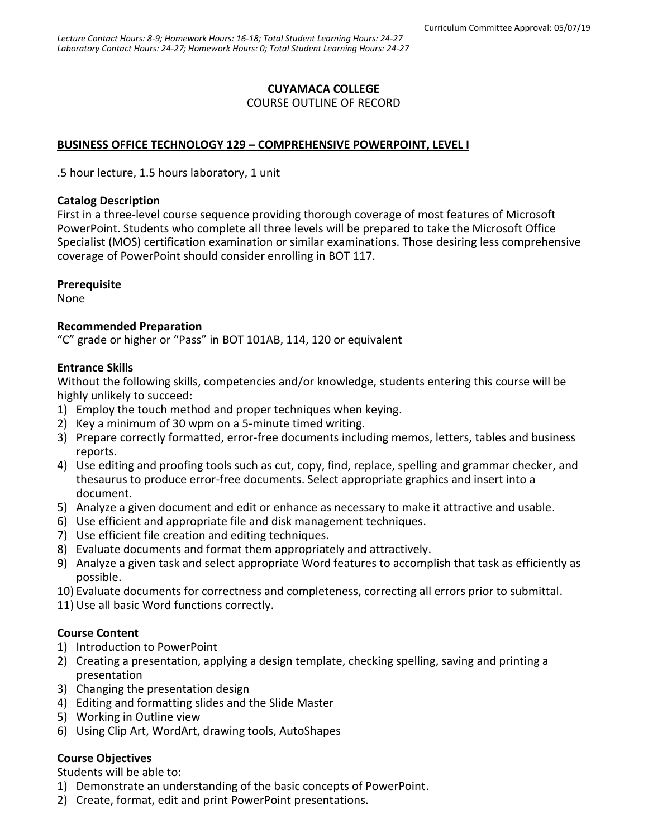### **CUYAMACA COLLEGE**

#### COURSE OUTLINE OF RECORD

### **BUSINESS OFFICE TECHNOLOGY 129 – COMPREHENSIVE POWERPOINT, LEVEL I**

.5 hour lecture, 1.5 hours laboratory, 1 unit

#### **Catalog Description**

First in a three-level course sequence providing thorough coverage of most features of Microsoft PowerPoint. Students who complete all three levels will be prepared to take the Microsoft Office Specialist (MOS) certification examination or similar examinations. Those desiring less comprehensive coverage of PowerPoint should consider enrolling in BOT 117.

### **Prerequisite**

None

### **Recommended Preparation**

"C" grade or higher or "Pass" in BOT 101AB, 114, 120 or equivalent

### **Entrance Skills**

Without the following skills, competencies and/or knowledge, students entering this course will be highly unlikely to succeed:

- 1) Employ the touch method and proper techniques when keying.
- 2) Key a minimum of 30 wpm on a 5-minute timed writing.
- 3) Prepare correctly formatted, error-free documents including memos, letters, tables and business reports.
- 4) Use editing and proofing tools such as cut, copy, find, replace, spelling and grammar checker, and thesaurus to produce error-free documents. Select appropriate graphics and insert into a document.
- 5) Analyze a given document and edit or enhance as necessary to make it attractive and usable.
- 6) Use efficient and appropriate file and disk management techniques.
- 7) Use efficient file creation and editing techniques.
- 8) Evaluate documents and format them appropriately and attractively.
- 9) Analyze a given task and select appropriate Word features to accomplish that task as efficiently as possible.
- 10) Evaluate documents for correctness and completeness, correcting all errors prior to submittal.
- 11) Use all basic Word functions correctly.

### **Course Content**

- 1) Introduction to PowerPoint
- 2) Creating a presentation, applying a design template, checking spelling, saving and printing a presentation
- 3) Changing the presentation design
- 4) Editing and formatting slides and the Slide Master
- 5) Working in Outline view
- 6) Using Clip Art, WordArt, drawing tools, AutoShapes

### **Course Objectives**

Students will be able to:

- 1) Demonstrate an understanding of the basic concepts of PowerPoint.
- 2) Create, format, edit and print PowerPoint presentations.